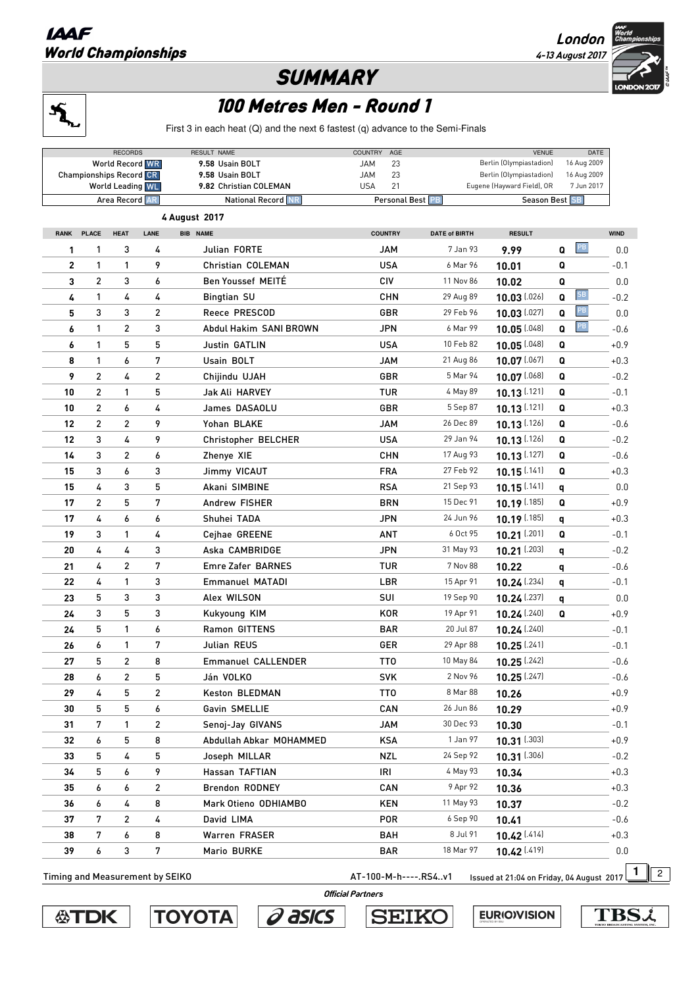## **IAAF** World Championships

**London 4-13 August 2017** 

LONDON<sub>2</sub>

## **SUMMARY**



## 100 Metres Men - Round 1

First 3 in each heat (Q) and the next 6 fastest (q) advance to the Semi-Finals

|                                                    |                | <b>RECORDS</b>         |                         | RESULT NAME                               | <b>COUNTRY</b><br>AGE              |                                                             | <b>VENUE</b>            | DATE                       |             |
|----------------------------------------------------|----------------|------------------------|-------------------------|-------------------------------------------|------------------------------------|-------------------------------------------------------------|-------------------------|----------------------------|-------------|
|                                                    |                | <b>World Record WR</b> |                         | 9.58 Usain BOLT                           | <b>JAM</b><br>23                   |                                                             | Berlin (Olympiastadion) | 16 Aug 2009<br>16 Aug 2009 |             |
| <b>Championships Record CR</b><br>World Leading WL |                |                        |                         | 9.58 Usain BOLT<br>9.82 Christian COLEMAN | <b>JAM</b><br>21<br><b>USA</b>     | 23<br>Berlin (Olympiastadion)<br>Eugene (Hayward Field), OR |                         | 7 Jun 2017                 |             |
| Area Record AR                                     |                |                        |                         | <b>National Record NR</b>                 | Personal Best PB<br>Season Best SB |                                                             |                         |                            |             |
| 4 August 2017                                      |                |                        |                         |                                           |                                    |                                                             |                         |                            |             |
| <b>RANK</b>                                        | <b>PLACE</b>   | <b>HEAT</b>            | LANE                    | <b>BIB NAME</b>                           | <b>COUNTRY</b>                     | <b>DATE of BIRTH</b>                                        | <b>RESULT</b>           |                            | <b>WIND</b> |
| 1                                                  | 1              | 3                      | 4                       | Julian FORTE                              | <b>JAM</b>                         | 7 Jan 93                                                    | 9.99                    | PB<br>Q                    | 0.0         |
| 2                                                  | 1              | 1                      | 9                       | Christian COLEMAN                         | <b>USA</b>                         | 6 Mar 96                                                    | 10.01                   | Q                          | $-0.1$      |
| 3                                                  | $\overline{c}$ | 3                      | 6                       | <b>Ben Youssef MEITÉ</b>                  | <b>CIV</b>                         | 11 Nov 86                                                   | 10.02                   | Q                          | 0.0         |
| 4                                                  | 1              | 4                      | 4                       | <b>Bingtian SU</b>                        | <b>CHN</b>                         | 29 Aug 89                                                   | $10.03$ [.026]          | SB<br>Q                    | $-0.2$      |
| 5                                                  | 3              | 3                      | $\overline{\mathbf{c}}$ | Reece PRESCOD                             | GBR                                | 29 Feb 96                                                   | $10.03$ [.027]          | PB<br>Q                    | 0.0         |
| 6                                                  | 1              | $\overline{c}$         | 3                       | Abdul Hakim SANI BROWN                    | <b>JPN</b>                         | 6 Mar 99                                                    | $10.05$ [.048]          | PB<br>Q                    | $-0.6$      |
| 6                                                  | 1              | 5                      | 5                       | Justin GATLIN                             | <b>USA</b>                         | 10 Feb 82                                                   | 10.05 [.048]            | Q                          | $+0.9$      |
| 8                                                  | 1              | 6                      | 7                       | Usain BOLT                                | <b>JAM</b>                         | 21 Aug 86                                                   | $10.07$ [.067]          | Q                          | $+0.3$      |
| 9                                                  | $\overline{c}$ | 4                      | $\overline{\mathbf{c}}$ | Chijindu UJAH                             | GBR                                | 5 Mar 94                                                    | 10.07 [.068]            | Q                          | $-0.2$      |
| 10                                                 | $\overline{c}$ | 1                      | 5                       | Jak Ali HARVEY                            | <b>TUR</b>                         | 4 May 89                                                    | $10.13$ (.121)          | Q                          | $-0.1$      |
| 10                                                 | $\overline{c}$ | 6                      | 4                       | James DASAOLU                             | GBR                                | 5 Sep 87                                                    | $10.13$ (.121)          | Q                          | $+0.3$      |
| 12                                                 | $\overline{c}$ | 2                      | 9                       | Yohan BLAKE                               | JAM                                | 26 Dec 89                                                   | $10.13$ (.126)          | Q                          | $-0.6$      |
| 12                                                 | 3              | 4                      | 9                       | Christopher BELCHER                       | <b>USA</b>                         | 29 Jan 94                                                   | $10.13$ [.126]          | Q                          | $-0.2$      |
| 14                                                 | 3              | 2                      | 6                       | Zhenye XIE                                | <b>CHN</b>                         | 17 Aug 93                                                   | $10.13$ (.127)          | Q                          | $-0.6$      |
| 15                                                 | 3              | 6                      | 3                       | Jimmy VICAUT                              | <b>FRA</b>                         | 27 Feb 92                                                   | $10.15$ (.141)          | Q                          | $+0.3$      |
| 15                                                 | 4              | 3                      | 5                       | Akani SIMBINE                             | <b>RSA</b>                         | 21 Sep 93                                                   | $10.15$ [.141]          | q                          | 0.0         |
| 17                                                 | $\overline{c}$ | 5                      | 7                       | Andrew FISHER                             | <b>BRN</b>                         | 15 Dec 91                                                   | $10.19$ (.185)          | Q                          | +0.9        |
| 17                                                 | 4              | 6                      | 6                       | Shuhei TADA                               | <b>JPN</b>                         | 24 Jun 96                                                   | 10.19 [.185]            | q                          | $+0.3$      |
| 19                                                 | 3              | 1                      | 4                       | Cejhae GREENE                             | <b>ANT</b>                         | 6 Oct 95                                                    | 10.21 [.201]            | Q                          | $-0.1$      |
| 20                                                 | 4              | 4                      | 3                       | Aska CAMBRIDGE                            | <b>JPN</b>                         | 31 May 93                                                   | $10.21$ (.203)          | q                          | $-0.2$      |
| 21                                                 | 4              | $\overline{c}$         | 7                       | Emre Zafer BARNES                         | <b>TUR</b>                         | 7 Nov 88                                                    | 10.22                   | q                          | $-0.6$      |
| 22                                                 | 4              | 1                      | 3                       | <b>Emmanuel MATADI</b>                    | LBR                                | 15 Apr 91                                                   | 10.24 [.234]            | q                          | $-0.1$      |
| 23                                                 | 5              | 3                      | 3                       | Alex WILSON                               | SUI                                | 19 Sep 90                                                   | $10.24$ (.237)          | q                          | 0.0         |
| 24                                                 | 3              | 5                      | 3                       | Kukyoung KIM                              | <b>KOR</b>                         | 19 Apr 91                                                   | $10.24$ (.240)          | Q                          | +0.9        |
| 24                                                 | 5              | 1                      | 6                       | Ramon GITTENS                             | <b>BAR</b>                         | 20 Jul 87                                                   | $10.24$ (.240)          |                            | $-0.1$      |
| 26                                                 | 6              | 1                      | 7                       | Julian REUS                               | GER                                | 29 Apr 88                                                   | $10.25$ [.241]          |                            | $-0.1$      |
| 27                                                 | 5              | 2                      | 8                       | <b>Emmanuel CALLENDER</b>                 | TT <sub>0</sub>                    | 10 May 84                                                   | $10.25$ [.242]          |                            | $-0.6$      |
| 28                                                 | 6              | 2                      | 5                       | Ján VOLKO                                 | SVK                                | 2 Nov 96                                                    | $10.25$ [.247]          |                            | $-0.6$      |
| 29                                                 | 4              | 5                      | 2                       | Keston BLEDMAN                            | TT <sub>0</sub>                    | 8 Mar 88                                                    | 10.26                   |                            | $+0.9$      |
| 30                                                 | 5              | 5                      | 6                       | Gavin SMELLIE                             | CAN                                | 26 Jun 86                                                   | 10.29                   |                            | $+0.9$      |
| 31                                                 | 7              | 1                      | 2                       | Senoj-Jay GIVANS                          | <b>JAM</b>                         | 30 Dec 93                                                   | 10.30                   |                            | $-0.1$      |
| 32                                                 | 6              | 5                      | 8                       | Abdullah Abkar MOHAMMED                   | <b>KSA</b>                         | 1 Jan 97                                                    | $10.31$ [.303]          |                            | $+0.9$      |
| 33                                                 | 5              | 4                      | 5                       | Joseph MILLAR                             | <b>NZL</b>                         | 24 Sep 92                                                   | $10.31$ [.306]          |                            | $-0.2$      |
| 34                                                 | 5              | 6                      | 9                       | Hassan TAFTIAN                            | IRI                                | 4 May 93                                                    | 10.34                   |                            | $+0.3$      |
| 35                                                 | 6              | 6                      | 2                       | <b>Brendon RODNEY</b>                     | CAN                                | 9 Apr 92                                                    | 10.36                   |                            | $+0.3$      |
| 36                                                 | 6              | 4                      | 8                       | Mark Otieno ODHIAMBO                      | <b>KEN</b>                         | 11 May 93                                                   | 10.37                   |                            | $-0.2$      |
| 37                                                 | 7              | $\overline{2}$         | 4                       | David LIMA                                | <b>POR</b>                         | 6 Sep 90                                                    | 10.41                   |                            | $-0.6$      |
| 38                                                 | 7              | 6                      | 8                       | Warren FRASER                             | <b>BAH</b>                         | 8 Jul 91                                                    | $10.42$ [.414]          |                            | $+0.3$      |
| 39                                                 | 6              | 3                      | 7                       | Mario BURKE                               | <b>BAR</b>                         | 18 Mar 97                                                   | 10.42 [.419]            |                            | 0.0         |
|                                                    |                |                        |                         |                                           |                                    |                                                             |                         |                            |             |

Timing and Measurement by SEIKO **AT-100-M-h----.RS4..v1** Issued at 21:04 on Friday, 04 August 2017

 **Official Partners** 







**SEIKO** 

**EURIOVISION** 

**TBSi**